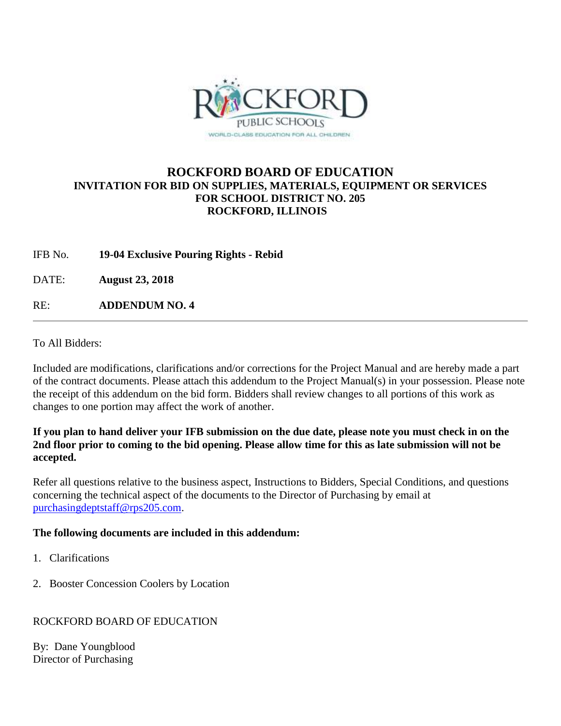

# **ROCKFORD BOARD OF EDUCATION INVITATION FOR BID ON SUPPLIES, MATERIALS, EQUIPMENT OR SERVICES FOR SCHOOL DISTRICT NO. 205 ROCKFORD, ILLINOIS**

IFB No. **19-04 Exclusive Pouring Rights - Rebid**

DATE: **August 23, 2018**

RE: **ADDENDUM NO. 4**

To All Bidders:

Included are modifications, clarifications and/or corrections for the Project Manual and are hereby made a part of the contract documents. Please attach this addendum to the Project Manual(s) in your possession. Please note the receipt of this addendum on the bid form. Bidders shall review changes to all portions of this work as changes to one portion may affect the work of another.

#### **If you plan to hand deliver your IFB submission on the due date, please note you must check in on the 2nd floor prior to coming to the bid opening. Please allow time for this as late submission will not be accepted.**

Refer all questions relative to the business aspect, Instructions to Bidders, Special Conditions, and questions concerning the technical aspect of the documents to the Director of Purchasing by email at [purchasingdeptstaff@rps205.com.](mailto:purchasingdeptstaff@rps205.com)

### **The following documents are included in this addendum:**

- 1. Clarifications
- 2. Booster Concession Coolers by Location

### ROCKFORD BOARD OF EDUCATION

By: Dane Youngblood Director of Purchasing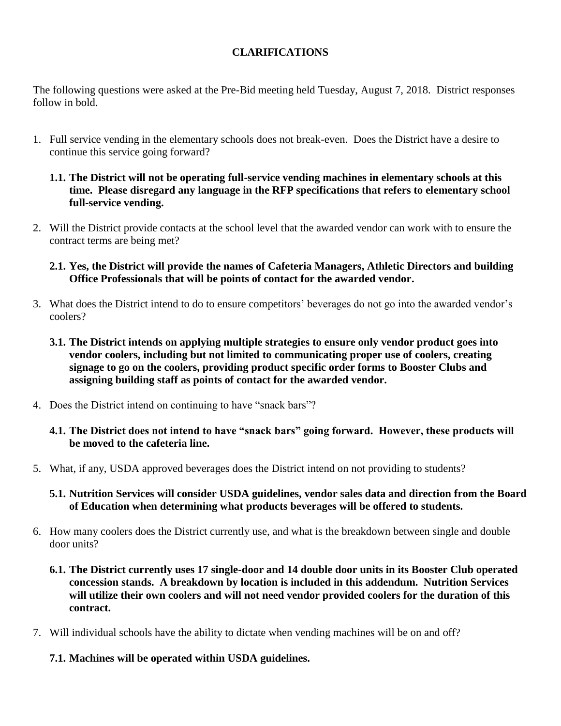# **CLARIFICATIONS**

The following questions were asked at the Pre-Bid meeting held Tuesday, August 7, 2018. District responses follow in bold.

- 1. Full service vending in the elementary schools does not break-even. Does the District have a desire to continue this service going forward?
	- **1.1. The District will not be operating full-service vending machines in elementary schools at this time. Please disregard any language in the RFP specifications that refers to elementary school full-service vending.**
- 2. Will the District provide contacts at the school level that the awarded vendor can work with to ensure the contract terms are being met?
	- **2.1. Yes, the District will provide the names of Cafeteria Managers, Athletic Directors and building Office Professionals that will be points of contact for the awarded vendor.**
- 3. What does the District intend to do to ensure competitors' beverages do not go into the awarded vendor's coolers?
	- **3.1. The District intends on applying multiple strategies to ensure only vendor product goes into vendor coolers, including but not limited to communicating proper use of coolers, creating signage to go on the coolers, providing product specific order forms to Booster Clubs and assigning building staff as points of contact for the awarded vendor.**
- 4. Does the District intend on continuing to have "snack bars"?
	- **4.1. The District does not intend to have "snack bars" going forward. However, these products will be moved to the cafeteria line.**
- 5. What, if any, USDA approved beverages does the District intend on not providing to students?
	- **5.1. Nutrition Services will consider USDA guidelines, vendor sales data and direction from the Board of Education when determining what products beverages will be offered to students.**
- 6. How many coolers does the District currently use, and what is the breakdown between single and double door units?
	- **6.1. The District currently uses 17 single-door and 14 double door units in its Booster Club operated concession stands. A breakdown by location is included in this addendum. Nutrition Services will utilize their own coolers and will not need vendor provided coolers for the duration of this contract.**
- 7. Will individual schools have the ability to dictate when vending machines will be on and off?
	- **7.1. Machines will be operated within USDA guidelines.**